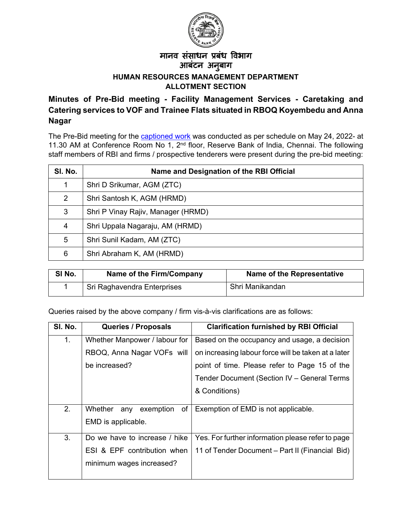

## मानव संसाधन प्रबंध विभाग आबंटन अनु बाग **HUMAN RESOURCES MANAGEMENT DEPARTMENT ALLOTMENT SECTION**

## **Minutes of Pre-Bid meeting - Facility Management Services - Caretaking and Catering services to VOF and Trainee Flats situated in RBOQ Koyembedu and Anna Nagar**

The Pre-Bid meeting for the **captioned work** was conducted as per schedule on May 24, 2022- at 11.30 AM at Conference Room No 1, 2<sup>nd</sup> floor, Reserve Bank of India, Chennai. The following staff members of RBI and firms / prospective tenderers were present during the pre-bid meeting:

| SI. No. | Name and Designation of the RBI Official |
|---------|------------------------------------------|
| 1       | Shri D Srikumar, AGM (ZTC)               |
| 2       | Shri Santosh K, AGM (HRMD)               |
| 3       | Shri P Vinay Rajiv, Manager (HRMD)       |
| 4       | Shri Uppala Nagaraju, AM (HRMD)          |
| 5       | Shri Sunil Kadam, AM (ZTC)               |
| 6       | Shri Abraham K, AM (HRMD)                |

| SI No. | Name of the Firm/Company    | <b>Name of the Representative</b> |
|--------|-----------------------------|-----------------------------------|
|        | Sri Raghavendra Enterprises | Shri Manikandan                   |

Queries raised by the above company / firm vis-à-vis clarifications are as follows:

| SI. No. | <b>Queries / Proposals</b>        | <b>Clarification furnished by RBI Official</b>      |
|---------|-----------------------------------|-----------------------------------------------------|
| 1.      | Whether Manpower / labour for     | Based on the occupancy and usage, a decision        |
|         | RBOQ, Anna Nagar VOFs will        | on increasing labour force will be taken at a later |
|         | be increased?                     | point of time. Please refer to Page 15 of the       |
|         |                                   | Tender Document (Section IV - General Terms         |
|         |                                   | & Conditions)                                       |
|         |                                   |                                                     |
| 2.      | Whether<br>exemption<br>of<br>any | Exemption of EMD is not applicable.                 |
|         | EMD is applicable.                |                                                     |
|         |                                   |                                                     |
| 3.      | Do we have to increase / hike     | Yes. For further information please refer to page   |
|         | ESI & EPF contribution when       | 11 of Tender Document - Part II (Financial Bid)     |
|         | minimum wages increased?          |                                                     |
|         |                                   |                                                     |